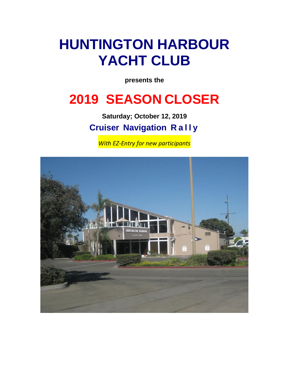# **HUNTINGTON HARBOUR YACHT CLUB**

**presents the**

## **2019 SEASON CLOSER**

**Saturday; October 12, 2019 Cruiser Navigation R a l l y**

*With EZ-Entry for new participants*

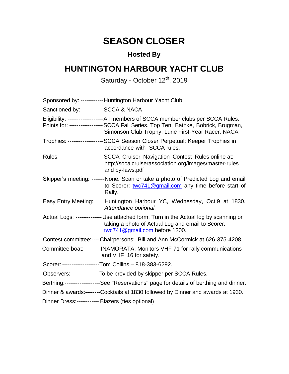### **SEASON CLOSER**

### **Hosted By**

### **HUNTINGTON HARBOUR YACHT CLUB**

#### Saturday - October 12<sup>th</sup>, 2019

|                                                   | Sponsored by: ------------ Huntington Harbour Yacht Club                                                                                                                                                                      |
|---------------------------------------------------|-------------------------------------------------------------------------------------------------------------------------------------------------------------------------------------------------------------------------------|
| Sanctioned by: ----------- SCCA & NACA            |                                                                                                                                                                                                                               |
|                                                   | Eligibility: ------------------- All members of SCCA member clubs per SCCA Rules.<br>Points for: ----------------- SCCA Fall Series, Top Ten, Bathke, Bobrick, Brugman,<br>Simonson Club Trophy, Lurie First-Year Racer, NACA |
|                                                   | Trophies: ------------------- SCCA Season Closer Perpetual; Keeper Trophies in<br>accordance with SCCA rules.                                                                                                                 |
|                                                   | Rules: -----------------------SCCA Cruiser Navigation Contest Rules online at:<br>http://socalcruiserassociation.org/images/master-rules<br>and by-laws.pdf                                                                   |
|                                                   | Skipper's meeting: -------None. Scan or take a photo of Predicted Log and email<br>to Scorer: twc741@gmail.com any time before start of<br>Rally.                                                                             |
| Easy Entry Meeting:                               | Huntington Harbour YC, Wednesday, Oct.9 at 1830.<br>Attendance optional.                                                                                                                                                      |
|                                                   | Actual Logs: -------------- Use attached form. Turn in the Actual log by scanning or<br>taking a photo of Actual Log and email to Scorer:<br>twc741@gmail.com before 1300.                                                    |
|                                                   | Contest committee:----Chairpersons: Bill and Ann McCormick at 626-375-4208.                                                                                                                                                   |
|                                                   | Committee boat:--------- INAMORATA: Monitors VHF 71 for rally communications<br>and VHF 16 for safety.                                                                                                                        |
|                                                   | Scorer: --------------------Tom Collins - 818-383-6292.                                                                                                                                                                       |
|                                                   | Observers: ----------------To be provided by skipper per SCCA Rules.                                                                                                                                                          |
|                                                   | Berthing:--------------------See "Reservations" page for details of berthing and dinner.                                                                                                                                      |
|                                                   | Dinner & awards:--------Cocktails at 1830 followed by Dinner and awards at 1930.                                                                                                                                              |
| Dinner Dress:------------ Blazers (ties optional) |                                                                                                                                                                                                                               |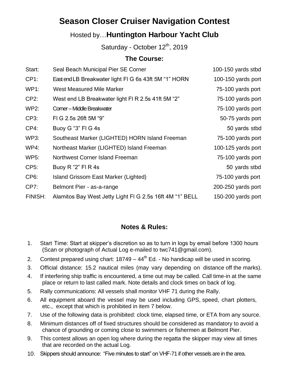### **Season Closer Cruiser Navigation Contest**

#### Hosted by…**Huntington Harbour Yacht Club**

Saturday - October 12<sup>th</sup>, 2019

#### **The Course:**

| Start:            | Seal Beach Municipal Pier SE Corner                      | 100-150 yards stbd |
|-------------------|----------------------------------------------------------|--------------------|
| $CP1$ :           | East end LB Breakwater light FIG 6s 43ft 5M "1" HORN     | 100-150 yards port |
| <b>WP1:</b>       | <b>West Measured Mile Marker</b>                         | 75-100 yards port  |
| $CP2$ :           | West end LB Breakwater light FI R 2.5s 41ft 5M "2"       | 75-100 yards port  |
| <b>WP2:</b>       | Corner - Middle Breakwater                               | 75-100 yards port  |
| CP3:              | FIG 2.5s 26ft 5M "9"                                     | 50-75 yards port   |
| $CP4$ :           | Buoy G "3" FI G 4s                                       | 50 yards stbd      |
| WP3:              | Southeast Marker (LIGHTED) HORN Island Freeman           | 75-100 yards port  |
| WP4:              | Northeast Marker (LIGHTED) Island Freeman                | 100-125 yards port |
| <b>WP5:</b>       | Northwest Corner Island Freeman                          | 75-100 yards port  |
| CP5:              | Buoy $R$ "2" FI R 4s                                     | 50 yards stbd      |
| CP <sub>6</sub> : | Island Grissom East Marker (Lighted)                     | 75-100 yards port  |
| CP7:              | Belmont Pier - as-a-range                                | 200-250 yards port |
| FINISH:           | Alamitos Bay West Jetty Light FI G 2.5s 16ft 4M "1" BELL | 150-200 yards port |
|                   |                                                          |                    |

#### **Notes & Rules:**

- 1. Start Time: Start at skipper's discretion so as to turn in logs by email before 1300 hours (Scan or photograph of Actual Log e-mailed to twc741@gmail.com).
- 2. Contest prepared using chart:  $18749 44<sup>th</sup>$  Ed. No handicap will be used in scoring.
- 3. Official distance: 15.2 nautical miles (may vary depending on distance off the marks).
- 4. If interfering ship traffic is encountered, a time out may be called. Call time-in at the same place or return to last called mark. Note details and clock times on back of log.
- 5. Rally communications: All vessels shall monitor VHF 71 during the Rally.
- 6. All equipment aboard the vessel may be used including GPS, speed, chart plotters, etc., except that which is prohibited in item 7 below.
- 7. Use of the following data is prohibited: clock time, elapsed time, or ETA from any source.
- 8. Minimum distances off of fixed structures should be considered as mandatory to avoid a chance of grounding or coming close to swimmers or fishermen at Belmont Pier.
- 9. This contest allows an open log where during the regatta the skipper may view all times that are recorded on the actual Log.
- 10. Skippers should announce: "Five minutes to start" on VHF-71 if other vessels are in the area.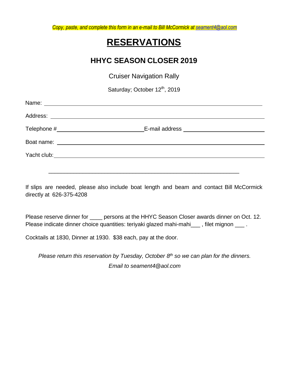*Copy, paste, and complete this form in an e-mail to Bill McCormick a[t seament4@aol.com](mailto:seament4@aol.com)*

### **RESERVATIONS**

#### **HHYC SEASON CLOSER 2019**

Cruiser Navigation Rally

Saturday; October 12<sup>th</sup>, 2019

| Telephone # Telephone # 2007 |  |
|------------------------------|--|
|                              |  |
|                              |  |
|                              |  |

If slips are needed, please also include boat length and beam and contact Bill McCormick directly at 626-375-4208

\_\_\_\_\_\_\_\_\_\_\_\_\_\_\_\_\_\_\_\_\_\_\_\_\_\_\_\_\_\_\_\_\_\_\_\_\_\_\_\_\_\_\_\_\_\_\_\_\_\_\_\_\_\_\_\_\_\_\_\_\_

Please reserve dinner for \_\_\_\_\_ persons at the HHYC Season Closer awards dinner on Oct. 12. Please indicate dinner choice quantities: teriyaki glazed mahi-mahi\_\_\_, filet mignon \_\_\_.

Cocktails at 1830, Dinner at 1930. \$38 each, pay at the door.

*Please return this reservation by Tuesday, October 8 th so we can plan for the dinners. Email to seament4@aol.com*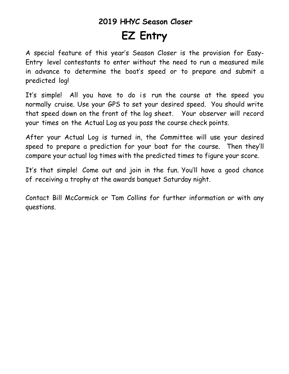## **2019 HHYC Season Closer EZ Entry**

A special feature of this year's Season Closer is the provision for Easy-Entry level contestants to enter without the need to run a measured mile in advance to determine the boat's speed or to prepare and submit a predicted log!

It's simple! All you have to do is run the course at the speed you normally cruise. Use your GPS to set your desired speed. You should write that speed down on the front of the log sheet. Your observer will record your times on the Actual Log as you pass the course check points.

After your Actual Log is turned in, the Committee will use your desired speed to prepare a prediction for your boat for the course. Then they'll compare your actual log times with the predicted times to figure your score.

It's that simple! Come out and join in the fun. You'll have a good chance of receiving a trophy at the awards banquet Saturday night.

Contact Bill McCormick or Tom Collins for further information or with any questions.